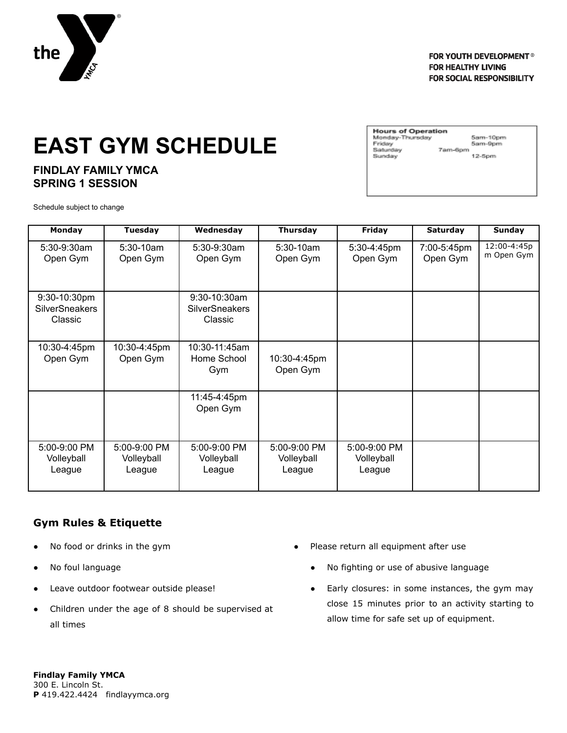

#### FOR YOUTH DEVELOPMENT® **FOR HEALTHY LIVING FOR SOCIAL RESPONSIBILITY**

## **EAST GYM SCHEDULE**

#### **FINDLAY FAMILY YMCA SPRING 1 SESSION**

**Hours of Operation** Monday-Thursday Friday<br>Saturday Sunday

5am-10pm 5am-9pm 7am-6pm 12-5pm

Schedule subject to change

| <b>Monday</b>                                    | <b>Tuesday</b>                       | Wednesday                                        | <b>Thursday</b>                      | Friday                               | Saturday                | Sunday                    |
|--------------------------------------------------|--------------------------------------|--------------------------------------------------|--------------------------------------|--------------------------------------|-------------------------|---------------------------|
| 5:30-9:30am<br>Open Gym                          | $5:30-10am$<br>Open Gym              | $5:30-9:30$ am<br>Open Gym                       | $5:30-10am$<br>Open Gym              | 5:30-4:45pm<br>Open Gym              | 7:00-5:45pm<br>Open Gym | 12:00-4:45p<br>m Open Gym |
| 9:30-10:30pm<br><b>SilverSneakers</b><br>Classic |                                      | 9:30-10:30am<br><b>SilverSneakers</b><br>Classic |                                      |                                      |                         |                           |
| 10:30-4:45pm<br>Open Gym                         | 10:30-4:45pm<br>Open Gym             | 10:30-11:45am<br>Home School<br>Gym              | 10:30-4:45pm<br>Open Gym             |                                      |                         |                           |
|                                                  |                                      | 11:45-4:45pm<br>Open Gym                         |                                      |                                      |                         |                           |
| 5:00-9:00 PM<br>Volleyball<br>League             | 5:00-9:00 PM<br>Volleyball<br>League | 5:00-9:00 PM<br>Volleyball<br>League             | 5:00-9:00 PM<br>Volleyball<br>League | 5:00-9:00 PM<br>Volleyball<br>League |                         |                           |

### **Gym Rules & Etiquette**

- No food or drinks in the gym
- No foul language
- Leave outdoor footwear outside please!
- Children under the age of 8 should be supervised at all times
- Please return all equipment after use
	- No fighting or use of abusive language
	- Early closures: in some instances, the gym may close 15 minutes prior to an activity starting to allow time for safe set up of equipment.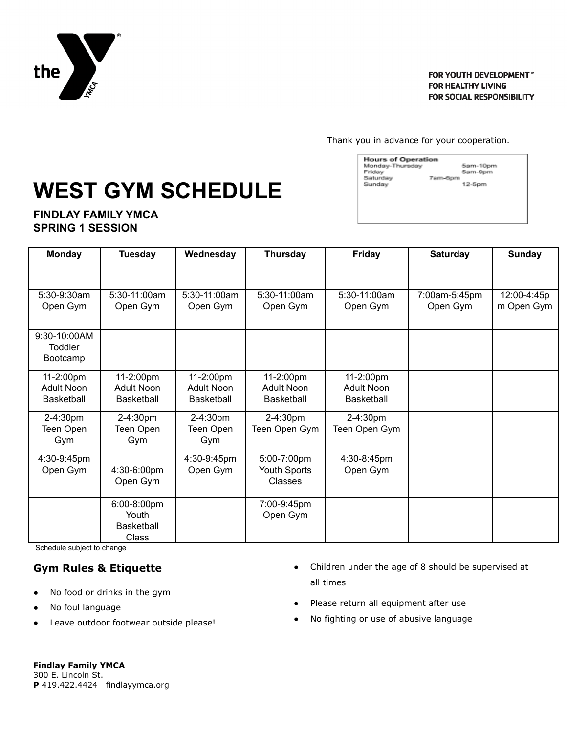

FOR YOUTH DEVELOPMENT™ **FOR HEALTHY LIVING FOR SOCIAL RESPONSIBILITY** 

Thank you in advance for your cooperation.

# **WEST GYM SCHEDULE**

**FINDLAY FAMILY YMCA SPRING 1 SESSION**

| Monday-Thursday | 5am-10pm |
|-----------------|----------|
| Friday          | 5am-9pm  |
| Saturday        | 7am-6pm  |
| Sunday          | $12-5pm$ |
|                 |          |
|                 |          |

| <b>Monday</b>                  | <b>Tuesday</b>    | Wednesday    | <b>Thursday</b>   | <b>Friday</b>     | <b>Saturday</b> | <b>Sunday</b> |
|--------------------------------|-------------------|--------------|-------------------|-------------------|-----------------|---------------|
|                                |                   |              |                   |                   |                 |               |
| 5:30-9:30am                    | 5:30-11:00am      | 5:30-11:00am | $5:30-11:00am$    | 5:30-11:00am      | 7:00am-5:45pm   | 12:00-4:45p   |
| Open Gym                       | Open Gym          | Open Gym     | Open Gym          | Open Gym          | Open Gym        | m Open Gym    |
| 9:30-10:00AM<br><b>Toddler</b> |                   |              |                   |                   |                 |               |
| Bootcamp                       |                   |              |                   |                   |                 |               |
| 11-2:00pm                      | 11-2:00pm         | 11-2:00pm    | 11-2:00pm         | 11-2:00pm         |                 |               |
| Adult Noon                     | Adult Noon        | Adult Noon   | Adult Noon        | Adult Noon        |                 |               |
| Basketball                     | Basketball        | Basketball   | <b>Basketball</b> | <b>Basketball</b> |                 |               |
| 2-4:30pm                       | 2-4:30pm          | 2-4:30pm     | 2-4:30pm          | 2-4:30pm          |                 |               |
| Teen Open                      | Teen Open         | Teen Open    | Teen Open Gym     | Teen Open Gym     |                 |               |
| Gym                            | Gym               | Gym          |                   |                   |                 |               |
| 4:30-9:45pm                    |                   | 4:30-9:45pm  | 5:00-7:00pm       | 4:30-8:45pm       |                 |               |
| Open Gym                       | 4:30-6:00pm       | Open Gym     | Youth Sports      | Open Gym          |                 |               |
|                                | Open Gym          |              | Classes           |                   |                 |               |
|                                | 6:00-8:00pm       |              | 7:00-9:45pm       |                   |                 |               |
|                                | Youth             |              | Open Gym          |                   |                 |               |
|                                | <b>Basketball</b> |              |                   |                   |                 |               |
|                                | <b>Class</b>      |              |                   |                   |                 |               |

Schedule subject to change

#### **Gym Rules & Etiquette**

- No food or drinks in the gym
- No foul language
- Leave outdoor footwear outside please!
- Children under the age of 8 should be supervised at all times
- Please return all equipment after use
- No fighting or use of abusive language